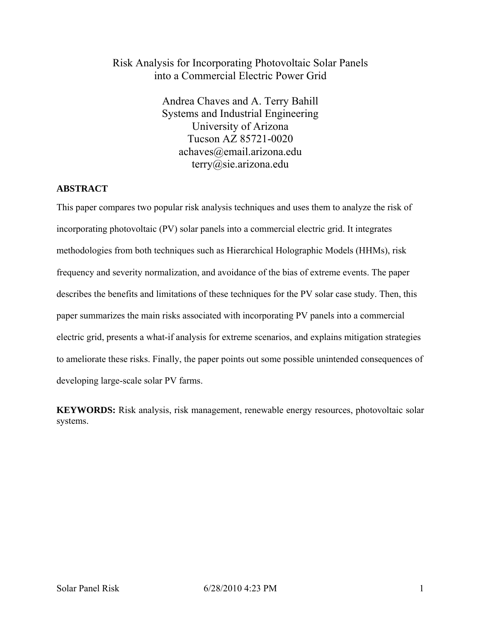# Risk Analysis for Incorporating Photovoltaic Solar Panels into a Commercial Electric Power Grid

Andrea Chaves and A. Terry Bahill Systems and Industrial Engineering University of Arizona Tucson AZ 85721-0020 achaves@email.arizona.edu terry@sie.arizona.edu

# **ABSTRACT**

This paper compares two popular risk analysis techniques and uses them to analyze the risk of incorporating photovoltaic (PV) solar panels into a commercial electric grid. It integrates methodologies from both techniques such as Hierarchical Holographic Models (HHMs), risk frequency and severity normalization, and avoidance of the bias of extreme events. The paper describes the benefits and limitations of these techniques for the PV solar case study. Then, this paper summarizes the main risks associated with incorporating PV panels into a commercial electric grid, presents a what-if analysis for extreme scenarios, and explains mitigation strategies to ameliorate these risks. Finally, the paper points out some possible unintended consequences of developing large-scale solar PV farms.

**KEYWORDS:** Risk analysis, risk management, renewable energy resources, photovoltaic solar systems.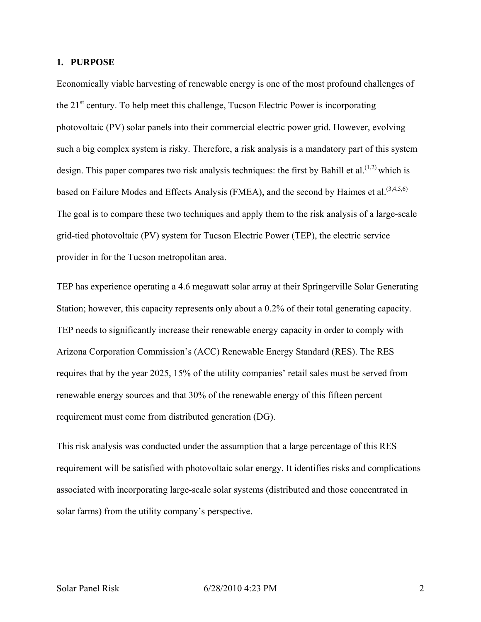#### **1. PURPOSE**

Economically viable harvesting of renewable energy is one of the most profound challenges of the  $21<sup>st</sup>$  century. To help meet this challenge, Tucson Electric Power is incorporating photovoltaic (PV) solar panels into their commercial electric power grid. However, evolving such a big complex system is risky. Therefore, a risk analysis is a mandatory part of this system design. This paper compares two risk analysis techniques: the first by Bahill et al.<sup>(1,2)</sup> which is based on Failure Modes and Effects Analysis (FMEA), and the second by Haimes et al.<sup> $(3,4,5,6)$ </sup> The goal is to compare these two techniques and apply them to the risk analysis of a large-scale grid-tied photovoltaic (PV) system for Tucson Electric Power (TEP), the electric service provider in for the Tucson metropolitan area.

TEP has experience operating a 4.6 megawatt solar array at their Springerville Solar Generating Station; however, this capacity represents only about a 0.2% of their total generating capacity. TEP needs to significantly increase their renewable energy capacity in order to comply with Arizona Corporation Commission's (ACC) Renewable Energy Standard (RES). The RES requires that by the year 2025, 15% of the utility companies' retail sales must be served from renewable energy sources and that 30% of the renewable energy of this fifteen percent requirement must come from distributed generation (DG).

This risk analysis was conducted under the assumption that a large percentage of this RES requirement will be satisfied with photovoltaic solar energy. It identifies risks and complications associated with incorporating large-scale solar systems (distributed and those concentrated in solar farms) from the utility company's perspective.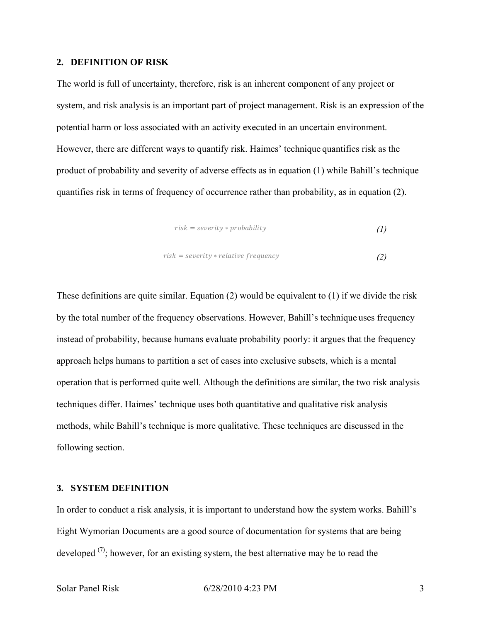#### **2. DEFINITION OF RISK**

The world is full of uncertainty, therefore, risk is an inherent component of any project or system, and risk analysis is an important part of project management. Risk is an expression of the potential harm or loss associated with an activity executed in an uncertain environment. However, there are different ways to quantify risk. Haimes' technique quantifies risk as the product of probability and severity of adverse effects as in equation (1) while Bahill's technique quantifies risk in terms of frequency of occurrence rather than probability, as in equation (2).

$$
risk = severity * probability \tag{1}
$$

$$
risk = severity * relative frequency \tag{2}
$$

These definitions are quite similar. Equation (2) would be equivalent to (1) if we divide the risk by the total number of the frequency observations. However, Bahill's technique uses frequency instead of probability, because humans evaluate probability poorly: it argues that the frequency approach helps humans to partition a set of cases into exclusive subsets, which is a mental operation that is performed quite well. Although the definitions are similar, the two risk analysis techniques differ. Haimes' technique uses both quantitative and qualitative risk analysis methods, while Bahill's technique is more qualitative. These techniques are discussed in the following section.

## **3. SYSTEM DEFINITION**

In order to conduct a risk analysis, it is important to understand how the system works. Bahill's Eight Wymorian Documents are a good source of documentation for systems that are being developed  $(7)$ ; however, for an existing system, the best alternative may be to read the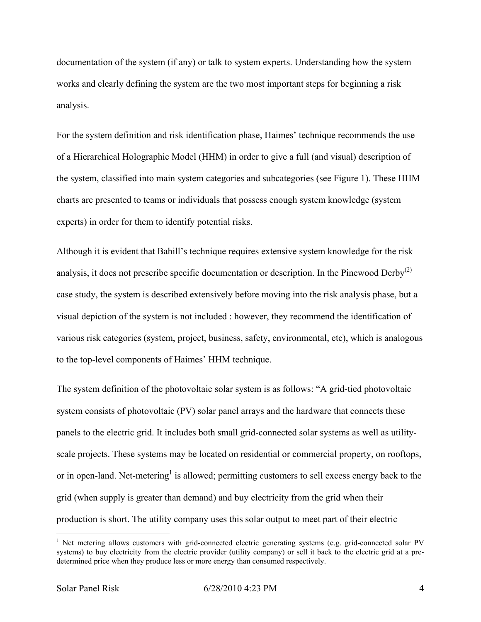documentation of the system (if any) or talk to system experts. Understanding how the system works and clearly defining the system are the two most important steps for beginning a risk analysis.

For the system definition and risk identification phase, Haimes' technique recommends the use of a Hierarchical Holographic Model (HHM) in order to give a full (and visual) description of the system, classified into main system categories and subcategories (see Figure 1). These HHM charts are presented to teams or individuals that possess enough system knowledge (system experts) in order for them to identify potential risks.

Although it is evident that Bahill's technique requires extensive system knowledge for the risk analysis, it does not prescribe specific documentation or description. In the Pinewood Derby<sup>(2)</sup> case study, the system is described extensively before moving into the risk analysis phase, but a visual depiction of the system is not included : however, they recommend the identification of various risk categories (system, project, business, safety, environmental, etc), which is analogous to the top-level components of Haimes' HHM technique.

The system definition of the photovoltaic solar system is as follows: "A grid-tied photovoltaic system consists of photovoltaic (PV) solar panel arrays and the hardware that connects these panels to the electric grid. It includes both small grid-connected solar systems as well as utilityscale projects. These systems may be located on residential or commercial property, on rooftops, or in open-land. Net-metering<sup>1</sup> is allowed; permitting customers to sell excess energy back to the grid (when supply is greater than demand) and buy electricity from the grid when their production is short. The utility company uses this solar output to meet part of their electric

 $\overline{a}$ 

<sup>&</sup>lt;sup>1</sup> Net metering allows customers with grid-connected electric generating systems (e.g. grid-connected solar PV systems) to buy electricity from the electric provider (utility company) or sell it back to the electric grid at a predetermined price when they produce less or more energy than consumed respectively.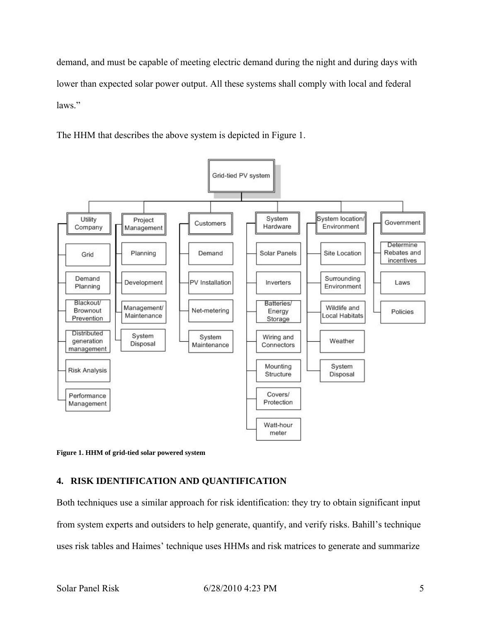demand, and must be capable of meeting electric demand during the night and during days with lower than expected solar power output. All these systems shall comply with local and federal laws."

The HHM that describes the above system is depicted in Figure 1.



**Figure 1. HHM of grid-tied solar powered system** 

# **4. RISK IDENTIFICATION AND QUANTIFICATION**

Both techniques use a similar approach for risk identification: they try to obtain significant input from system experts and outsiders to help generate, quantify, and verify risks. Bahill's technique uses risk tables and Haimes' technique uses HHMs and risk matrices to generate and summarize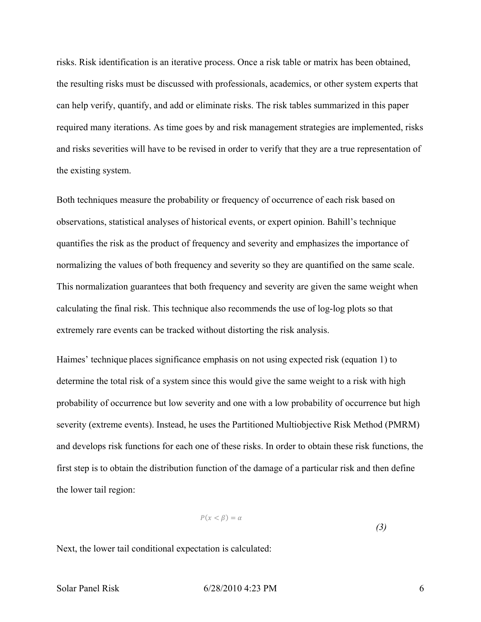risks. Risk identification is an iterative process. Once a risk table or matrix has been obtained, the resulting risks must be discussed with professionals, academics, or other system experts that can help verify, quantify, and add or eliminate risks. The risk tables summarized in this paper required many iterations. As time goes by and risk management strategies are implemented, risks and risks severities will have to be revised in order to verify that they are a true representation of the existing system.

Both techniques measure the probability or frequency of occurrence of each risk based on observations, statistical analyses of historical events, or expert opinion. Bahill's technique quantifies the risk as the product of frequency and severity and emphasizes the importance of normalizing the values of both frequency and severity so they are quantified on the same scale. This normalization guarantees that both frequency and severity are given the same weight when calculating the final risk. This technique also recommends the use of log-log plots so that extremely rare events can be tracked without distorting the risk analysis.

Haimes' technique places significance emphasis on not using expected risk (equation 1) to determine the total risk of a system since this would give the same weight to a risk with high probability of occurrence but low severity and one with a low probability of occurrence but high severity (extreme events). Instead, he uses the Partitioned Multiobjective Risk Method (PMRM) and develops risk functions for each one of these risks. In order to obtain these risk functions, the first step is to obtain the distribution function of the damage of a particular risk and then define the lower tail region:

$$
P(x < \beta) = \alpha \tag{3}
$$

Next, the lower tail conditional expectation is calculated: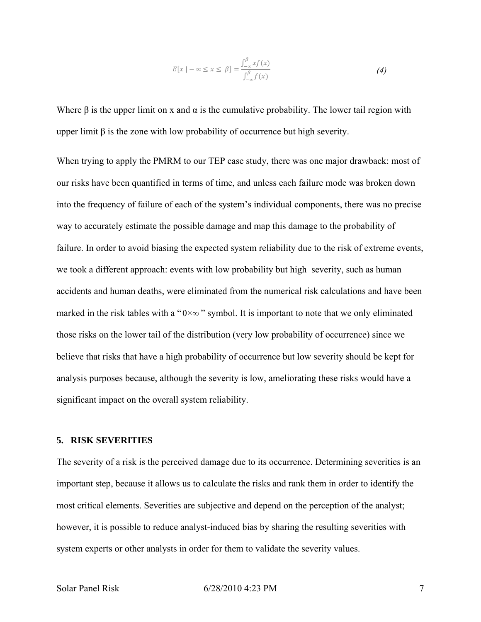$$
E[x \mid -\infty \le x \le \beta] = \frac{\int_{-\infty}^{\beta} x f(x)}{\int_{-\infty}^{\beta} f(x)} \tag{4}
$$

Where  $\beta$  is the upper limit on x and  $\alpha$  is the cumulative probability. The lower tail region with upper limit  $\beta$  is the zone with low probability of occurrence but high severity.

When trying to apply the PMRM to our TEP case study, there was one major drawback: most of our risks have been quantified in terms of time, and unless each failure mode was broken down into the frequency of failure of each of the system's individual components, there was no precise way to accurately estimate the possible damage and map this damage to the probability of failure. In order to avoid biasing the expected system reliability due to the risk of extreme events, we took a different approach: events with low probability but high severity, such as human accidents and human deaths, were eliminated from the numerical risk calculations and have been marked in the risk tables with a " $0 \times \infty$ " symbol. It is important to note that we only eliminated those risks on the lower tail of the distribution (very low probability of occurrence) since we believe that risks that have a high probability of occurrence but low severity should be kept for analysis purposes because, although the severity is low, ameliorating these risks would have a significant impact on the overall system reliability.

## **5. RISK SEVERITIES**

The severity of a risk is the perceived damage due to its occurrence. Determining severities is an important step, because it allows us to calculate the risks and rank them in order to identify the most critical elements. Severities are subjective and depend on the perception of the analyst; however, it is possible to reduce analyst-induced bias by sharing the resulting severities with system experts or other analysts in order for them to validate the severity values.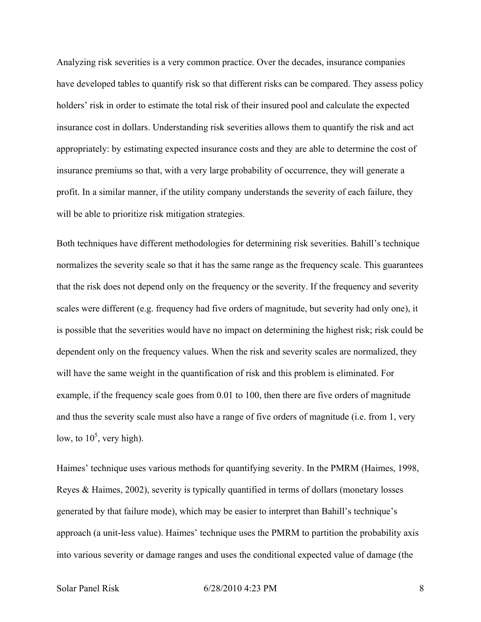Analyzing risk severities is a very common practice. Over the decades, insurance companies have developed tables to quantify risk so that different risks can be compared. They assess policy holders' risk in order to estimate the total risk of their insured pool and calculate the expected insurance cost in dollars. Understanding risk severities allows them to quantify the risk and act appropriately: by estimating expected insurance costs and they are able to determine the cost of insurance premiums so that, with a very large probability of occurrence, they will generate a profit. In a similar manner, if the utility company understands the severity of each failure, they will be able to prioritize risk mitigation strategies.

Both techniques have different methodologies for determining risk severities. Bahill's technique normalizes the severity scale so that it has the same range as the frequency scale. This guarantees that the risk does not depend only on the frequency or the severity. If the frequency and severity scales were different (e.g. frequency had five orders of magnitude, but severity had only one), it is possible that the severities would have no impact on determining the highest risk; risk could be dependent only on the frequency values. When the risk and severity scales are normalized, they will have the same weight in the quantification of risk and this problem is eliminated. For example, if the frequency scale goes from 0.01 to 100, then there are five orders of magnitude and thus the severity scale must also have a range of five orders of magnitude (i.e. from 1, very low, to  $10^5$ , very high).

Haimes' technique uses various methods for quantifying severity. In the PMRM (Haimes, 1998, Reyes & Haimes, 2002), severity is typically quantified in terms of dollars (monetary losses generated by that failure mode), which may be easier to interpret than Bahill's technique's approach (a unit-less value). Haimes' technique uses the PMRM to partition the probability axis into various severity or damage ranges and uses the conditional expected value of damage (the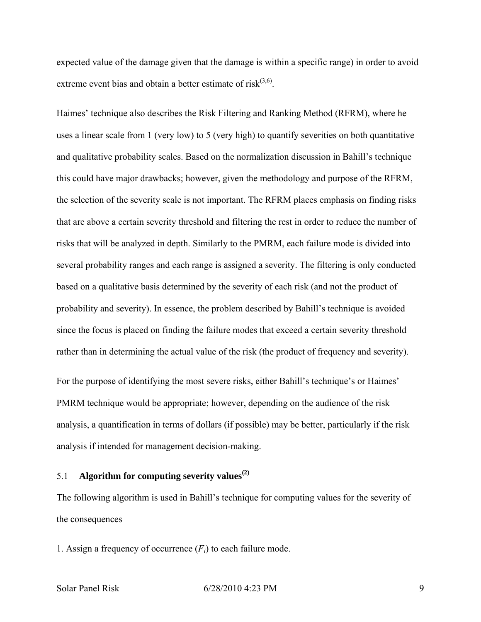expected value of the damage given that the damage is within a specific range) in order to avoid extreme event bias and obtain a better estimate of risk $(3,6)$ .

Haimes' technique also describes the Risk Filtering and Ranking Method (RFRM), where he uses a linear scale from 1 (very low) to 5 (very high) to quantify severities on both quantitative and qualitative probability scales. Based on the normalization discussion in Bahill's technique this could have major drawbacks; however, given the methodology and purpose of the RFRM, the selection of the severity scale is not important. The RFRM places emphasis on finding risks that are above a certain severity threshold and filtering the rest in order to reduce the number of risks that will be analyzed in depth. Similarly to the PMRM, each failure mode is divided into several probability ranges and each range is assigned a severity. The filtering is only conducted based on a qualitative basis determined by the severity of each risk (and not the product of probability and severity). In essence, the problem described by Bahill's technique is avoided since the focus is placed on finding the failure modes that exceed a certain severity threshold rather than in determining the actual value of the risk (the product of frequency and severity).

For the purpose of identifying the most severe risks, either Bahill's technique's or Haimes' PMRM technique would be appropriate; however, depending on the audience of the risk analysis, a quantification in terms of dollars (if possible) may be better, particularly if the risk analysis if intended for management decision-making.

# 5.1 **Algorithm for computing severity values(2)**

The following algorithm is used in Bahill's technique for computing values for the severity of the consequences

1. Assign a frequency of occurrence  $(F_i)$  to each failure mode.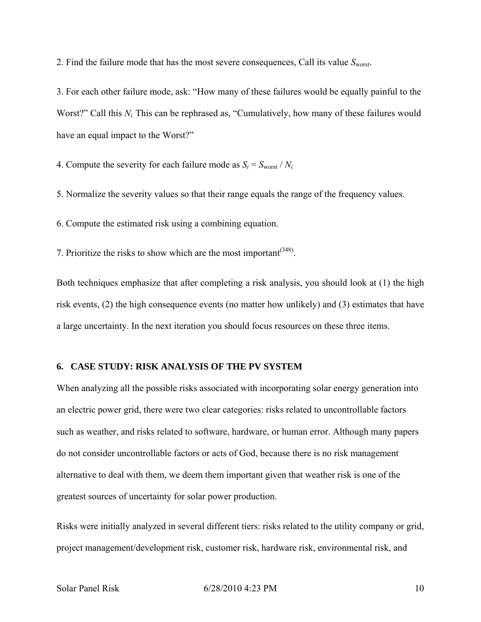2. Find the failure mode that has the most severe consequences, Call its value  $S<sub>worst</sub>$ .

3. For each other failure mode, ask: "How many of these failures would be equally painful to the Worst?" Call this  $N_i$ . This can be rephrased as, "Cumulatively, how many of these failures would have an equal impact to the Worst?"

4. Compute the severity for each failure mode as  $S_i = S_{\text{worst}} / N_i$ 

5. Normalize the severity values so that their range equals the range of the frequency values.

6. Compute the estimated risk using a combining equation.

7. Prioritize the risks to show which are the most important  $(348)$ .

Both techniques emphasize that after completing a risk analysis, you should look at (1) the high risk events, (2) the high consequence events (no matter how unlikely) and (3) estimates that have a large uncertainty. In the next iteration you should focus resources on these three items.

#### **6. CASE STUDY: RISK ANALYSIS OF THE PV SYSTEM**

When analyzing all the possible risks associated with incorporating solar energy generation into an electric power grid, there were two clear categories: risks related to uncontrollable factors such as weather, and risks related to software, hardware, or human error. Although many papers do not consider uncontrollable factors or acts of God, because there is no risk management alternative to deal with them, we deem them important given that weather risk is one of the greatest sources of uncertainty for solar power production.

Risks were initially analyzed in several different tiers: risks related to the utility company or grid, project management/development risk, customer risk, hardware risk, environmental risk, and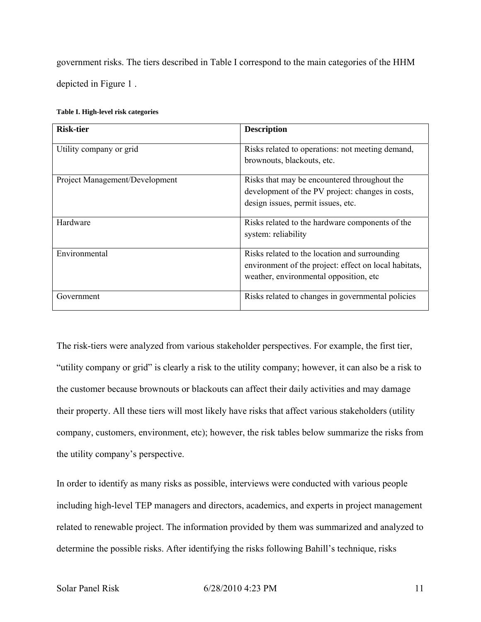government risks. The tiers described in Table I correspond to the main categories of the HHM depicted in Figure 1 .

| <b>Risk-tier</b>               | <b>Description</b>                                                                                                                                |
|--------------------------------|---------------------------------------------------------------------------------------------------------------------------------------------------|
| Utility company or grid        | Risks related to operations: not meeting demand,<br>brownouts, blackouts, etc.                                                                    |
| Project Management/Development | Risks that may be encountered throughout the<br>development of the PV project: changes in costs,<br>design issues, permit issues, etc.            |
| Hardware                       | Risks related to the hardware components of the<br>system: reliability                                                                            |
| Environmental                  | Risks related to the location and surrounding<br>environment of the project: effect on local habitats,<br>weather, environmental opposition, etc. |
| Government                     | Risks related to changes in governmental policies                                                                                                 |

The risk-tiers were analyzed from various stakeholder perspectives. For example, the first tier, "utility company or grid" is clearly a risk to the utility company; however, it can also be a risk to the customer because brownouts or blackouts can affect their daily activities and may damage their property. All these tiers will most likely have risks that affect various stakeholders (utility company, customers, environment, etc); however, the risk tables below summarize the risks from the utility company's perspective.

In order to identify as many risks as possible, interviews were conducted with various people including high-level TEP managers and directors, academics, and experts in project management related to renewable project. The information provided by them was summarized and analyzed to determine the possible risks. After identifying the risks following Bahill's technique, risks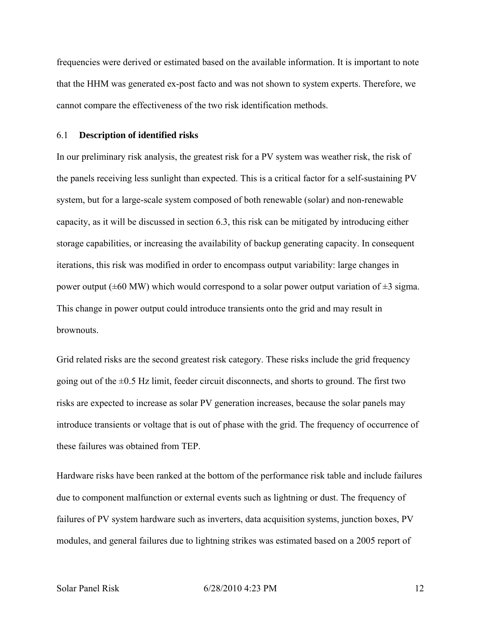frequencies were derived or estimated based on the available information. It is important to note that the HHM was generated ex-post facto and was not shown to system experts. Therefore, we cannot compare the effectiveness of the two risk identification methods.

#### 6.1 **Description of identified risks**

In our preliminary risk analysis, the greatest risk for a PV system was weather risk, the risk of the panels receiving less sunlight than expected. This is a critical factor for a self-sustaining PV system, but for a large-scale system composed of both renewable (solar) and non-renewable capacity, as it will be discussed in section 6.3, this risk can be mitigated by introducing either storage capabilities, or increasing the availability of backup generating capacity. In consequent iterations, this risk was modified in order to encompass output variability: large changes in power output ( $\pm 60$  MW) which would correspond to a solar power output variation of  $\pm 3$  sigma. This change in power output could introduce transients onto the grid and may result in **brownouts** 

Grid related risks are the second greatest risk category. These risks include the grid frequency going out of the  $\pm 0.5$  Hz limit, feeder circuit disconnects, and shorts to ground. The first two risks are expected to increase as solar PV generation increases, because the solar panels may introduce transients or voltage that is out of phase with the grid. The frequency of occurrence of these failures was obtained from TEP.

Hardware risks have been ranked at the bottom of the performance risk table and include failures due to component malfunction or external events such as lightning or dust. The frequency of failures of PV system hardware such as inverters, data acquisition systems, junction boxes, PV modules, and general failures due to lightning strikes was estimated based on a 2005 report of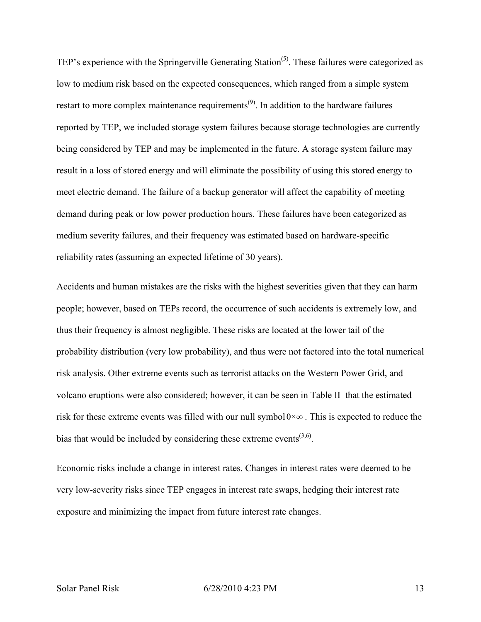TEP's experience with the Springerville Generating Station<sup>(5)</sup>. These failures were categorized as low to medium risk based on the expected consequences, which ranged from a simple system restart to more complex maintenance requirements<sup> $(9)$ </sup>. In addition to the hardware failures reported by TEP, we included storage system failures because storage technologies are currently being considered by TEP and may be implemented in the future. A storage system failure may result in a loss of stored energy and will eliminate the possibility of using this stored energy to meet electric demand. The failure of a backup generator will affect the capability of meeting demand during peak or low power production hours. These failures have been categorized as medium severity failures, and their frequency was estimated based on hardware-specific reliability rates (assuming an expected lifetime of 30 years).

Accidents and human mistakes are the risks with the highest severities given that they can harm people; however, based on TEPs record, the occurrence of such accidents is extremely low, and thus their frequency is almost negligible. These risks are located at the lower tail of the probability distribution (very low probability), and thus were not factored into the total numerical risk analysis. Other extreme events such as terrorist attacks on the Western Power Grid, and volcano eruptions were also considered; however, it can be seen in Table II that the estimated risk for these extreme events was filled with our null symbol  $0 \times \infty$ . This is expected to reduce the bias that would be included by considering these extreme events<sup> $(3,6)$ </sup>.

Economic risks include a change in interest rates. Changes in interest rates were deemed to be very low-severity risks since TEP engages in interest rate swaps, hedging their interest rate exposure and minimizing the impact from future interest rate changes.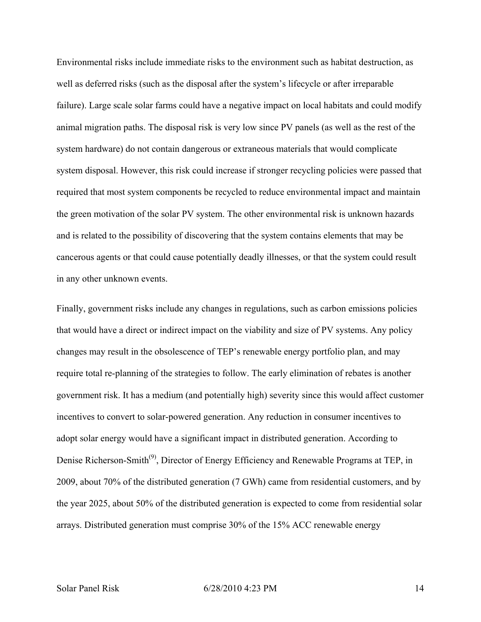Environmental risks include immediate risks to the environment such as habitat destruction, as well as deferred risks (such as the disposal after the system's lifecycle or after irreparable failure). Large scale solar farms could have a negative impact on local habitats and could modify animal migration paths. The disposal risk is very low since PV panels (as well as the rest of the system hardware) do not contain dangerous or extraneous materials that would complicate system disposal. However, this risk could increase if stronger recycling policies were passed that required that most system components be recycled to reduce environmental impact and maintain the green motivation of the solar PV system. The other environmental risk is unknown hazards and is related to the possibility of discovering that the system contains elements that may be cancerous agents or that could cause potentially deadly illnesses, or that the system could result in any other unknown events.

Finally, government risks include any changes in regulations, such as carbon emissions policies that would have a direct or indirect impact on the viability and size of PV systems. Any policy changes may result in the obsolescence of TEP's renewable energy portfolio plan, and may require total re-planning of the strategies to follow. The early elimination of rebates is another government risk. It has a medium (and potentially high) severity since this would affect customer incentives to convert to solar-powered generation. Any reduction in consumer incentives to adopt solar energy would have a significant impact in distributed generation. According to Denise Richerson-Smith<sup>(9)</sup>, Director of Energy Efficiency and Renewable Programs at TEP, in 2009, about 70% of the distributed generation (7 GWh) came from residential customers, and by the year 2025, about 50% of the distributed generation is expected to come from residential solar arrays. Distributed generation must comprise 30% of the 15% ACC renewable energy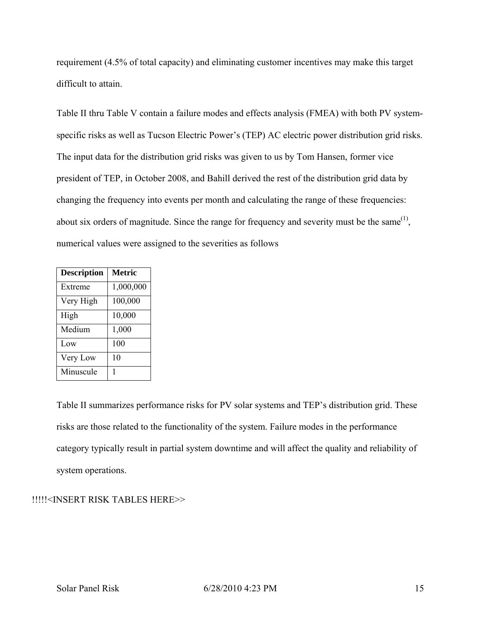requirement (4.5% of total capacity) and eliminating customer incentives may make this target difficult to attain.

Table II thru Table V contain a failure modes and effects analysis (FMEA) with both PV systemspecific risks as well as Tucson Electric Power's (TEP) AC electric power distribution grid risks. The input data for the distribution grid risks was given to us by Tom Hansen, former vice president of TEP, in October 2008, and Bahill derived the rest of the distribution grid data by changing the frequency into events per month and calculating the range of these frequencies: about six orders of magnitude. Since the range for frequency and severity must be the same $^{(1)}$ , numerical values were assigned to the severities as follows

| <b>Description</b> | <b>Metric</b> |
|--------------------|---------------|
| Extreme            | 1,000,000     |
| Very High          | 100,000       |
| High               | 10,000        |
| Medium             | 1,000         |
| Low                | 100           |
| Very Low           | 10            |
| Minuscule          | 1             |

Table II summarizes performance risks for PV solar systems and TEP's distribution grid. These risks are those related to the functionality of the system. Failure modes in the performance category typically result in partial system downtime and will affect the quality and reliability of system operations.

# !!!!!<INSERT RISK TABLES HERE>>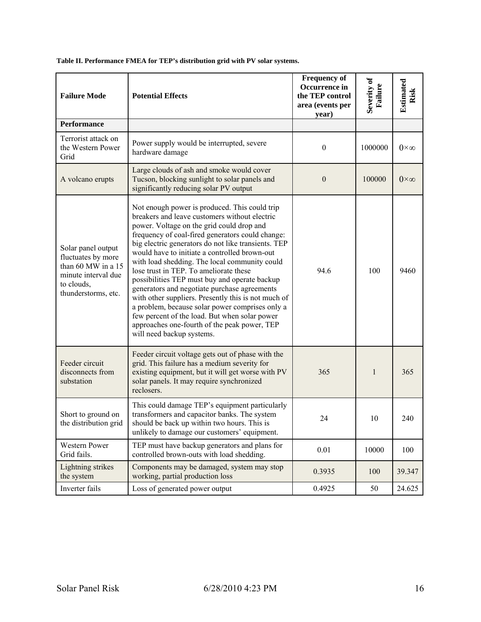**Table II. Performance FMEA for TEP's distribution grid with PV solar systems.** 

| <b>Failure Mode</b>                                                                                                        | <b>Potential Effects</b>                                                                                                                                                                                                                                                                                                                                                                                                                                                                                                                                                                                                                                                                                                                    | <b>Frequency of</b><br>Occurrence in<br>the TEP control<br>area (events per<br>year) | Severity of<br>Failure | Estimated<br>Risk |
|----------------------------------------------------------------------------------------------------------------------------|---------------------------------------------------------------------------------------------------------------------------------------------------------------------------------------------------------------------------------------------------------------------------------------------------------------------------------------------------------------------------------------------------------------------------------------------------------------------------------------------------------------------------------------------------------------------------------------------------------------------------------------------------------------------------------------------------------------------------------------------|--------------------------------------------------------------------------------------|------------------------|-------------------|
| <b>Performance</b>                                                                                                         |                                                                                                                                                                                                                                                                                                                                                                                                                                                                                                                                                                                                                                                                                                                                             |                                                                                      |                        |                   |
| Terrorist attack on<br>the Western Power<br>Grid                                                                           | Power supply would be interrupted, severe<br>hardware damage                                                                                                                                                                                                                                                                                                                                                                                                                                                                                                                                                                                                                                                                                | $\boldsymbol{0}$                                                                     | 1000000                | $0\times\infty$   |
| A volcano erupts                                                                                                           | Large clouds of ash and smoke would cover<br>Tucson, blocking sunlight to solar panels and<br>significantly reducing solar PV output                                                                                                                                                                                                                                                                                                                                                                                                                                                                                                                                                                                                        | $\boldsymbol{0}$                                                                     | 100000                 | $0\times\infty$   |
| Solar panel output<br>fluctuates by more<br>than 60 MW in a 15<br>minute interval due<br>to clouds,<br>thunderstorms, etc. | Not enough power is produced. This could trip<br>breakers and leave customers without electric<br>power. Voltage on the grid could drop and<br>frequency of coal-fired generators could change:<br>big electric generators do not like transients. TEP<br>would have to initiate a controlled brown-out<br>with load shedding. The local community could<br>lose trust in TEP. To ameliorate these<br>possibilities TEP must buy and operate backup<br>generators and negotiate purchase agreements<br>with other suppliers. Presently this is not much of<br>a problem, because solar power comprises only a<br>few percent of the load. But when solar power<br>approaches one-fourth of the peak power, TEP<br>will need backup systems. | 94.6                                                                                 | 100                    | 9460              |
| Feeder circuit<br>disconnects from<br>substation                                                                           | Feeder circuit voltage gets out of phase with the<br>grid. This failure has a medium severity for<br>existing equipment, but it will get worse with PV<br>solar panels. It may require synchronized<br>reclosers.                                                                                                                                                                                                                                                                                                                                                                                                                                                                                                                           | 365                                                                                  | $\mathbf{1}$           | 365               |
| Short to ground on<br>the distribution grid                                                                                | This could damage TEP's equipment particularly<br>transformers and capacitor banks. The system<br>should be back up within two hours. This is<br>unlikely to damage our customers' equipment.                                                                                                                                                                                                                                                                                                                                                                                                                                                                                                                                               | 24                                                                                   | 10                     | 240               |
| Western Power<br>Grid fails.                                                                                               | TEP must have backup generators and plans for<br>controlled brown-outs with load shedding.                                                                                                                                                                                                                                                                                                                                                                                                                                                                                                                                                                                                                                                  | 0.01                                                                                 | 10000                  | 100               |
| Lightning strikes<br>the system                                                                                            | Components may be damaged, system may stop<br>working, partial production loss                                                                                                                                                                                                                                                                                                                                                                                                                                                                                                                                                                                                                                                              | 0.3935                                                                               | 100                    | 39.347            |
| Inverter fails                                                                                                             | Loss of generated power output                                                                                                                                                                                                                                                                                                                                                                                                                                                                                                                                                                                                                                                                                                              | 0.4925                                                                               | 50                     | 24.625            |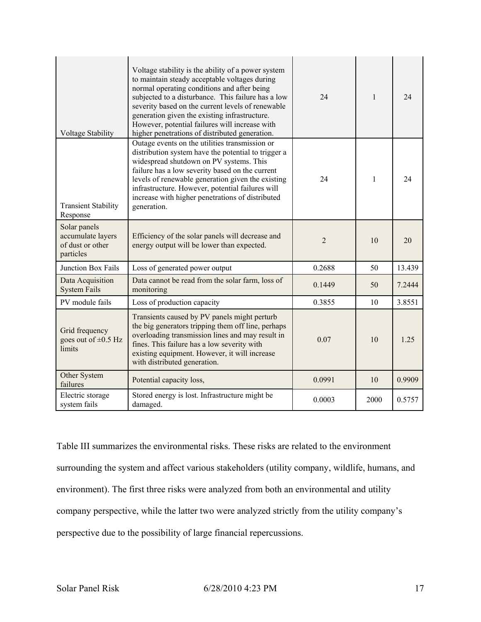| <b>Voltage Stability</b>                                           | Voltage stability is the ability of a power system<br>to maintain steady acceptable voltages during<br>normal operating conditions and after being<br>subjected to a disturbance. This failure has a low<br>severity based on the current levels of renewable<br>generation given the existing infrastructure.<br>However, potential failures will increase with<br>higher penetrations of distributed generation. | 24             | $\mathbf{1}$ | 24     |
|--------------------------------------------------------------------|--------------------------------------------------------------------------------------------------------------------------------------------------------------------------------------------------------------------------------------------------------------------------------------------------------------------------------------------------------------------------------------------------------------------|----------------|--------------|--------|
| <b>Transient Stability</b><br>Response                             | Outage events on the utilities transmission or<br>distribution system have the potential to trigger a<br>widespread shutdown on PV systems. This<br>failure has a low severity based on the current<br>levels of renewable generation given the existing<br>infrastructure. However, potential failures will<br>increase with higher penetrations of distributed<br>generation.                                    | 24             | $\mathbf{1}$ | 24     |
| Solar panels<br>accumulate layers<br>of dust or other<br>particles | Efficiency of the solar panels will decrease and<br>energy output will be lower than expected.                                                                                                                                                                                                                                                                                                                     | $\overline{2}$ | 10           | 20     |
| Junction Box Fails                                                 | Loss of generated power output                                                                                                                                                                                                                                                                                                                                                                                     | 0.2688         | 50           | 13.439 |
| Data Acquisition<br><b>System Fails</b>                            | Data cannot be read from the solar farm, loss of<br>monitoring                                                                                                                                                                                                                                                                                                                                                     | 0.1449         | 50           | 7.2444 |
| PV module fails                                                    | Loss of production capacity                                                                                                                                                                                                                                                                                                                                                                                        | 0.3855         | 10           | 3.8551 |
| Grid frequency<br>goes out of $\pm 0.5$ Hz<br>limits               | Transients caused by PV panels might perturb<br>the big generators tripping them off line, perhaps<br>overloading transmission lines and may result in<br>fines. This failure has a low severity with<br>existing equipment. However, it will increase<br>with distributed generation.                                                                                                                             | 0.07           | 10           | 1.25   |
| Other System<br>failures                                           | Potential capacity loss,                                                                                                                                                                                                                                                                                                                                                                                           | 0.0991         | 10           | 0.9909 |
| Electric storage<br>system fails                                   | Stored energy is lost. Infrastructure might be<br>damaged.                                                                                                                                                                                                                                                                                                                                                         | 0.0003         | 2000         | 0.5757 |

Table III summarizes the environmental risks. These risks are related to the environment surrounding the system and affect various stakeholders (utility company, wildlife, humans, and environment). The first three risks were analyzed from both an environmental and utility company perspective, while the latter two were analyzed strictly from the utility company's perspective due to the possibility of large financial repercussions.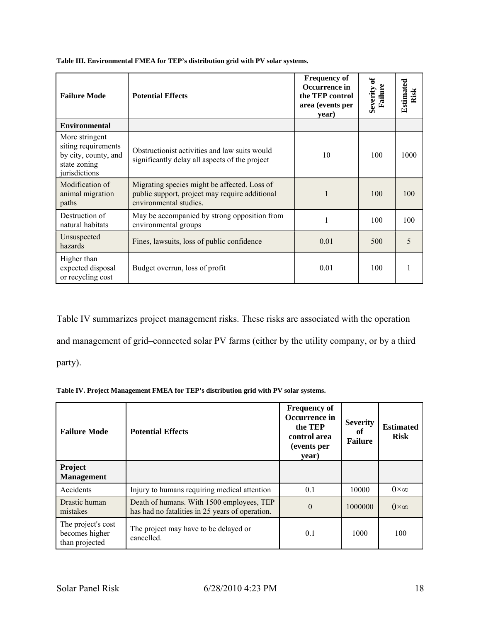**Table III. Environmental FMEA for TEP's distribution grid with PV solar systems.** 

| <b>Failure Mode</b>                                                                            | <b>Potential Effects</b>                                                                                                 | <b>Frequency of</b><br>Occurrence in<br>the TEP control<br>area (events per<br>year) | Severity of<br>Failur | Estimated<br>Risk |
|------------------------------------------------------------------------------------------------|--------------------------------------------------------------------------------------------------------------------------|--------------------------------------------------------------------------------------|-----------------------|-------------------|
| <b>Environmental</b>                                                                           |                                                                                                                          |                                                                                      |                       |                   |
| More stringent<br>siting requirements<br>by city, county, and<br>state zoning<br>jurisdictions | Obstructionist activities and law suits would<br>significantly delay all aspects of the project                          | 10                                                                                   | 100                   | 1000              |
| Modification of<br>animal migration<br>paths                                                   | Migrating species might be affected. Loss of<br>public support, project may require additional<br>environmental studies. |                                                                                      | 100                   | 100               |
| Destruction of<br>natural habitats                                                             | May be accompanied by strong opposition from<br>environmental groups                                                     |                                                                                      | 100                   | 100               |
| Unsuspected<br>hazards                                                                         | Fines, lawsuits, loss of public confidence                                                                               | 0.01                                                                                 | 500                   | 5                 |
| Higher than<br>expected disposal<br>or recycling cost                                          | Budget overrun, loss of profit                                                                                           | 0.01                                                                                 | 100                   |                   |

Table IV summarizes project management risks. These risks are associated with the operation and management of grid–connected solar PV farms (either by the utility company, or by a third party).

**Table IV. Project Management FMEA for TEP's distribution grid with PV solar systems.** 

| <b>Failure Mode</b>                                    | <b>Potential Effects</b>                                                                     | <b>Frequency of</b><br>Occurrence in<br>the TEP<br>control area<br>(events per<br>year) | <b>Severity</b><br>of<br><b>Failure</b> | <b>Estimated</b><br><b>Risk</b> |
|--------------------------------------------------------|----------------------------------------------------------------------------------------------|-----------------------------------------------------------------------------------------|-----------------------------------------|---------------------------------|
| Project<br><b>Management</b>                           |                                                                                              |                                                                                         |                                         |                                 |
| Accidents                                              | Injury to humans requiring medical attention                                                 | 0.1                                                                                     | 10000                                   | $0\times\infty$                 |
| Drastic human<br>mistakes                              | Death of humans. With 1500 employees, TEP<br>has had no fatalities in 25 years of operation. | $\Omega$                                                                                | 1000000                                 | $0 \times \infty$               |
| The project's cost<br>becomes higher<br>than projected | The project may have to be delayed or<br>cancelled.                                          | 0.1                                                                                     | 1000                                    | 100                             |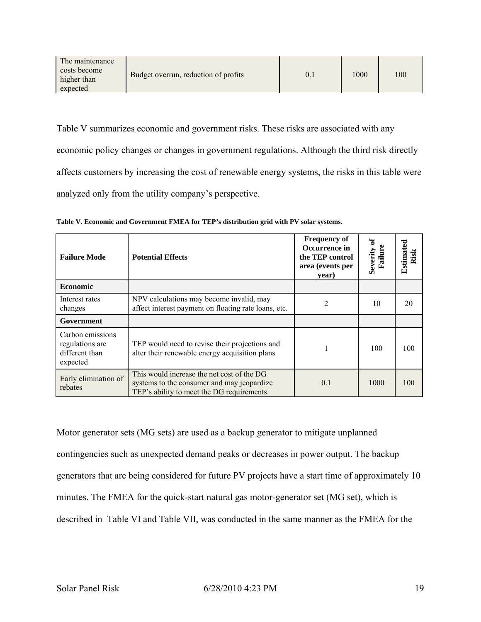| The maintenance                         |                                      |      |     |
|-----------------------------------------|--------------------------------------|------|-----|
| costs become<br>higher than<br>expected | Budget overrun, reduction of profits | 1000 | 100 |

Table V summarizes economic and government risks. These risks are associated with any economic policy changes or changes in government regulations. Although the third risk directly affects customers by increasing the cost of renewable energy systems, the risks in this table were analyzed only from the utility company's perspective.

| <b>Failure Mode</b>                                               | <b>Potential Effects</b>                                                                                                               | <b>Frequency of</b><br>Occurrence in<br>the TEP control<br>area (events per<br>year) | ัธ<br>Severity<br>Failur | Estimated<br>Risk |
|-------------------------------------------------------------------|----------------------------------------------------------------------------------------------------------------------------------------|--------------------------------------------------------------------------------------|--------------------------|-------------------|
| Economic                                                          |                                                                                                                                        |                                                                                      |                          |                   |
| Interest rates<br>changes                                         | NPV calculations may become invalid, may<br>affect interest payment on floating rate loans, etc.                                       | 2                                                                                    | 10                       | 20                |
| Government                                                        |                                                                                                                                        |                                                                                      |                          |                   |
| Carbon emissions<br>regulations are<br>different than<br>expected | TEP would need to revise their projections and<br>alter their renewable energy acquisition plans                                       |                                                                                      | 100                      | 100               |
| Early elimination of<br>rebates                                   | This would increase the net cost of the DG<br>systems to the consumer and may jeopardize<br>TEP's ability to meet the DG requirements. | 0.1                                                                                  | 1000                     | 100               |

**Table V. Economic and Government FMEA for TEP's distribution grid with PV solar systems.** 

Motor generator sets (MG sets) are used as a backup generator to mitigate unplanned contingencies such as unexpected demand peaks or decreases in power output. The backup generators that are being considered for future PV projects have a start time of approximately 10 minutes. The FMEA for the quick-start natural gas motor-generator set (MG set), which is described in Table VI and Table VII, was conducted in the same manner as the FMEA for the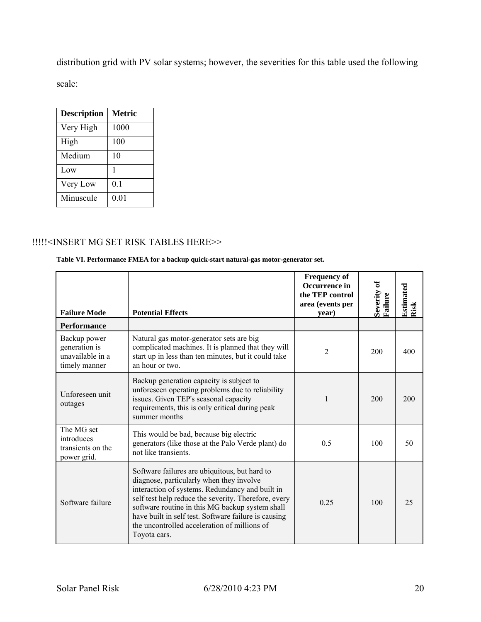distribution grid with PV solar systems; however, the severities for this table used the following scale:

| <b>Description</b> | <b>Metric</b> |
|--------------------|---------------|
| Very High          | 1000          |
| High               | 100           |
| Medium             | 10            |
| Low                | 1             |
| Very Low           | 0.1           |
| Minuscule          | 0.01          |

## !!!!!<INSERT MG SET RISK TABLES HERE>>

### **Table VI. Performance FMEA for a backup quick-start natural-gas motor-generator set.**

| <b>Failure Mode</b>                                                | <b>Potential Effects</b>                                                                                                                                                                                                                                                                                                                                                        | <b>Frequency of</b><br>Occurrence in<br>the TEP control<br>area (events per<br>year) | Severity of<br>Failure | Estimated<br>Risk |
|--------------------------------------------------------------------|---------------------------------------------------------------------------------------------------------------------------------------------------------------------------------------------------------------------------------------------------------------------------------------------------------------------------------------------------------------------------------|--------------------------------------------------------------------------------------|------------------------|-------------------|
| <b>Performance</b>                                                 |                                                                                                                                                                                                                                                                                                                                                                                 |                                                                                      |                        |                   |
| Backup power<br>generation is<br>unavailable in a<br>timely manner | Natural gas motor-generator sets are big<br>complicated machines. It is planned that they will<br>start up in less than ten minutes, but it could take<br>an hour or two.                                                                                                                                                                                                       | 2                                                                                    | 200                    | 400               |
| Unforeseen unit<br>outages                                         | Backup generation capacity is subject to<br>unforeseen operating problems due to reliability<br>issues. Given TEP's seasonal capacity<br>requirements, this is only critical during peak<br>summer months                                                                                                                                                                       | 1                                                                                    | 200                    | 200               |
| The MG set<br>introduces<br>transients on the<br>power grid.       | This would be bad, because big electric<br>generators (like those at the Palo Verde plant) do<br>not like transients.                                                                                                                                                                                                                                                           | 0.5                                                                                  | 100                    | 50                |
| Software failure                                                   | Software failures are ubiquitous, but hard to<br>diagnose, particularly when they involve<br>interaction of systems. Redundancy and built in<br>self test help reduce the severity. Therefore, every<br>software routine in this MG backup system shall<br>have built in self test. Software failure is causing<br>the uncontrolled acceleration of millions of<br>Toyota cars. | 0.25                                                                                 | 100                    | 25                |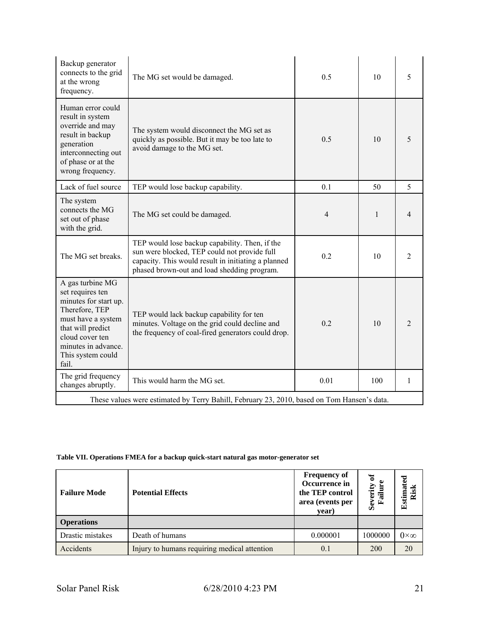| Backup generator<br>connects to the grid<br>at the wrong<br>frequency.                                                                                                                             | The MG set would be damaged.                                                                                                                                                                         | 0.5            | 10  | 5              |
|----------------------------------------------------------------------------------------------------------------------------------------------------------------------------------------------------|------------------------------------------------------------------------------------------------------------------------------------------------------------------------------------------------------|----------------|-----|----------------|
| Human error could<br>result in system<br>override and may<br>result in backup<br>generation<br>interconnecting out<br>of phase or at the<br>wrong frequency.                                       | The system would disconnect the MG set as<br>quickly as possible. But it may be too late to<br>avoid damage to the MG set.                                                                           | 0.5            | 10  | 5              |
| Lack of fuel source                                                                                                                                                                                | TEP would lose backup capability.                                                                                                                                                                    | 0.1            | 50  | 5              |
| The system<br>connects the MG<br>set out of phase<br>with the grid.                                                                                                                                | The MG set could be damaged.                                                                                                                                                                         | $\overline{4}$ | 1   | 4              |
| The MG set breaks.                                                                                                                                                                                 | TEP would lose backup capability. Then, if the<br>sun were blocked, TEP could not provide full<br>capacity. This would result in initiating a planned<br>phased brown-out and load shedding program. | 0.2            | 10  | $\overline{c}$ |
| A gas turbine MG<br>set requires ten<br>minutes for start up.<br>Therefore, TEP<br>must have a system<br>that will predict<br>cloud cover ten<br>minutes in advance.<br>This system could<br>fail. | TEP would lack backup capability for ten<br>minutes. Voltage on the grid could decline and<br>the frequency of coal-fired generators could drop.                                                     | 0.2            | 10  | $\overline{2}$ |
| The grid frequency<br>changes abruptly.                                                                                                                                                            | This would harm the MG set.                                                                                                                                                                          | 0.01           | 100 | 1              |
|                                                                                                                                                                                                    | These values were estimated by Terry Bahill, February 23, 2010, based on Tom Hansen's data.                                                                                                          |                |     |                |

## **Table VII. Operations FMEA for a backup quick-start natural gas motor-generator set**

| <b>Failure Mode</b> | <b>Potential Effects</b>                     | <b>Frequency of</b><br>Occurrence in<br>the TEP control<br>area (events per<br>year) | ัธ<br>Severity<br>Failur | ರ<br>tima<br>ಾ<br>Ž<br>ة<br>$\mathbf{r}$ |
|---------------------|----------------------------------------------|--------------------------------------------------------------------------------------|--------------------------|------------------------------------------|
| <b>Operations</b>   |                                              |                                                                                      |                          |                                          |
| Drastic mistakes    | Death of humans                              | 0.000001                                                                             | 1000000                  | $0\times\infty$                          |
| Accidents           | Injury to humans requiring medical attention | 0.1                                                                                  | 200                      | 20                                       |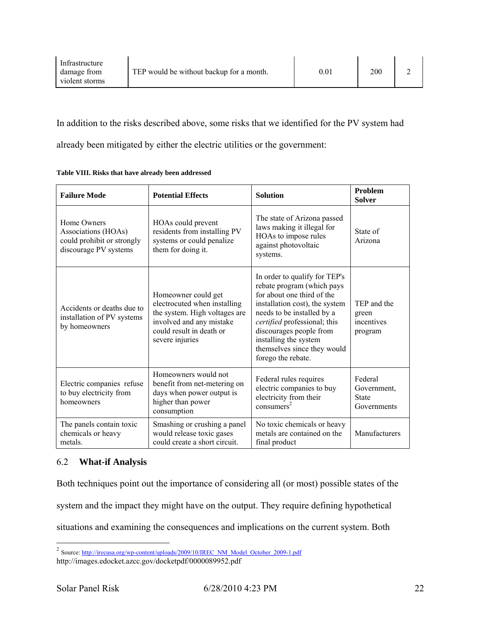| Infrastructure<br>damage from | TEP would be without backup for a month. | $\rm 0.01$ | 200 |  |
|-------------------------------|------------------------------------------|------------|-----|--|
| violent storms                |                                          |            |     |  |

In addition to the risks described above, some risks that we identified for the PV system had already been mitigated by either the electric utilities or the government:

| <b>Failure Mode</b>                                                                       | <b>Potential Effects</b>                                                                                                                                        | <b>Solution</b>                                                                                                                                                                                                                                                                                    | <b>Problem</b><br><b>Solver</b>                       |
|-------------------------------------------------------------------------------------------|-----------------------------------------------------------------------------------------------------------------------------------------------------------------|----------------------------------------------------------------------------------------------------------------------------------------------------------------------------------------------------------------------------------------------------------------------------------------------------|-------------------------------------------------------|
| Home Owners<br>Associations (HOAs)<br>could prohibit or strongly<br>discourage PV systems | HOAs could prevent<br>residents from installing PV<br>systems or could penalize<br>them for doing it.                                                           | The state of Arizona passed<br>laws making it illegal for<br>HOAs to impose rules<br>against photovoltaic<br>systems.                                                                                                                                                                              | State of<br>Arizona                                   |
| Accidents or deaths due to<br>installation of PV systems<br>by homeowners                 | Homeowner could get<br>electrocuted when installing<br>the system. High voltages are<br>involved and any mistake<br>could result in death or<br>severe injuries | In order to qualify for TEP's<br>rebate program (which pays<br>for about one third of the<br>installation cost), the system<br>needs to be installed by a<br>certified professional; this<br>discourages people from<br>installing the system<br>themselves since they would<br>forego the rebate. | TEP and the<br>green<br>incentives<br>program         |
| Electric companies refuse<br>to buy electricity from<br>homeowners                        | Homeowners would not<br>benefit from net-metering on<br>days when power output is<br>higher than power<br>consumption                                           | Federal rules requires<br>electric companies to buy<br>electricity from their<br>consumer <sup>2</sup>                                                                                                                                                                                             | Federal<br>Government,<br><b>State</b><br>Governments |
| The panels contain toxic<br>chemicals or heavy<br>metals.                                 | Smashing or crushing a panel<br>would release toxic gases<br>could create a short circuit.                                                                      | No toxic chemicals or heavy<br>metals are contained on the<br>final product                                                                                                                                                                                                                        | Manufacturers                                         |

**Table VIII. Risks that have already been addressed** 

# 6.2 **What-if Analysis**

Both techniques point out the importance of considering all (or most) possible states of the system and the impact they might have on the output. They require defining hypothetical situations and examining the consequences and implications on the current system. Both

 $\overline{a}$ 

<sup>&</sup>lt;sup>2</sup> Source: http://irecusa.org/wp-content/uploads/2009/10/IREC\_NM\_Model\_October\_2009-1.pdf

http://images.edocket.azcc.gov/docketpdf/0000089952.pdf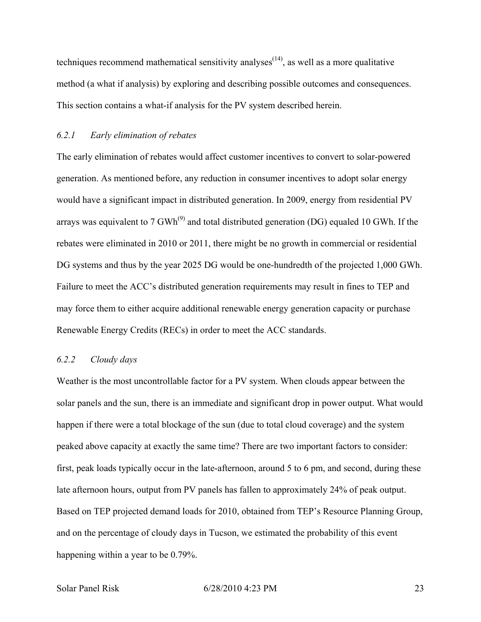techniques recommend mathematical sensitivity analyses<sup> $(14)$ </sup>, as well as a more qualitative method (a what if analysis) by exploring and describing possible outcomes and consequences. This section contains a what-if analysis for the PV system described herein.

## *6.2.1 Early elimination of rebates*

The early elimination of rebates would affect customer incentives to convert to solar-powered generation. As mentioned before, any reduction in consumer incentives to adopt solar energy would have a significant impact in distributed generation. In 2009, energy from residential PV arrays was equivalent to 7 GWh<sup>(9)</sup> and total distributed generation (DG) equaled 10 GWh. If the rebates were eliminated in 2010 or 2011, there might be no growth in commercial or residential DG systems and thus by the year 2025 DG would be one-hundredth of the projected 1,000 GWh. Failure to meet the ACC's distributed generation requirements may result in fines to TEP and may force them to either acquire additional renewable energy generation capacity or purchase Renewable Energy Credits (RECs) in order to meet the ACC standards.

## *6.2.2 Cloudy days*

Weather is the most uncontrollable factor for a PV system. When clouds appear between the solar panels and the sun, there is an immediate and significant drop in power output. What would happen if there were a total blockage of the sun (due to total cloud coverage) and the system peaked above capacity at exactly the same time? There are two important factors to consider: first, peak loads typically occur in the late-afternoon, around 5 to 6 pm, and second, during these late afternoon hours, output from PV panels has fallen to approximately 24% of peak output. Based on TEP projected demand loads for 2010, obtained from TEP's Resource Planning Group, and on the percentage of cloudy days in Tucson, we estimated the probability of this event happening within a year to be 0.79%.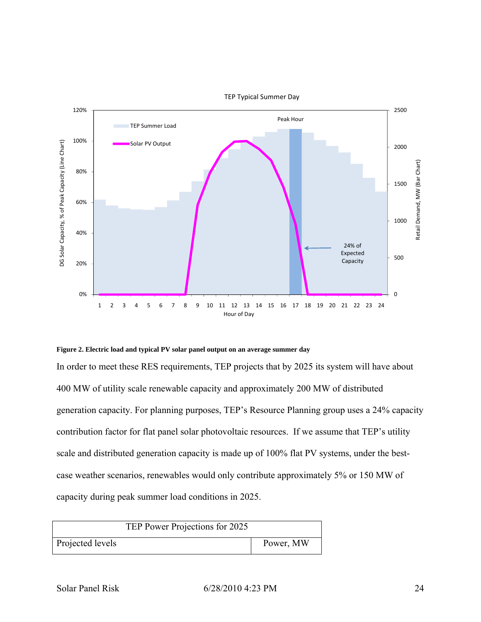

**Figure 2. Electric load and typical PV solar panel output on an average summer day** 

In order to meet these RES requirements, TEP projects that by 2025 its system will have about 400 MW of utility scale renewable capacity and approximately 200 MW of distributed generation capacity. For planning purposes, TEP's Resource Planning group uses a 24% capacity contribution factor for flat panel solar photovoltaic resources. If we assume that TEP's utility scale and distributed generation capacity is made up of 100% flat PV systems, under the bestcase weather scenarios, renewables would only contribute approximately 5% or 150 MW of capacity during peak summer load conditions in 2025.

| TEP Power Projections for 2025 |           |  |
|--------------------------------|-----------|--|
| Projected levels               | Power, MW |  |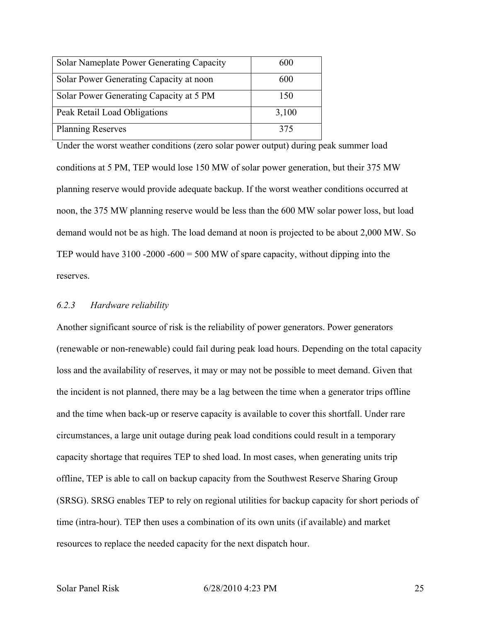| Solar Nameplate Power Generating Capacity | 600   |
|-------------------------------------------|-------|
| Solar Power Generating Capacity at noon   | 600   |
| Solar Power Generating Capacity at 5 PM   | 150   |
| Peak Retail Load Obligations              | 3,100 |
| <b>Planning Reserves</b>                  | 375   |

Under the worst weather conditions (zero solar power output) during peak summer load conditions at 5 PM, TEP would lose 150 MW of solar power generation, but their 375 MW planning reserve would provide adequate backup. If the worst weather conditions occurred at noon, the 375 MW planning reserve would be less than the 600 MW solar power loss, but load demand would not be as high. The load demand at noon is projected to be about 2,000 MW. So TEP would have  $3100 - 2000 - 600 = 500$  MW of spare capacity, without dipping into the reserves.

#### *6.2.3 Hardware reliability*

Another significant source of risk is the reliability of power generators. Power generators (renewable or non-renewable) could fail during peak load hours. Depending on the total capacity loss and the availability of reserves, it may or may not be possible to meet demand. Given that the incident is not planned, there may be a lag between the time when a generator trips offline and the time when back-up or reserve capacity is available to cover this shortfall. Under rare circumstances, a large unit outage during peak load conditions could result in a temporary capacity shortage that requires TEP to shed load. In most cases, when generating units trip offline, TEP is able to call on backup capacity from the Southwest Reserve Sharing Group (SRSG). SRSG enables TEP to rely on regional utilities for backup capacity for short periods of time (intra-hour). TEP then uses a combination of its own units (if available) and market resources to replace the needed capacity for the next dispatch hour.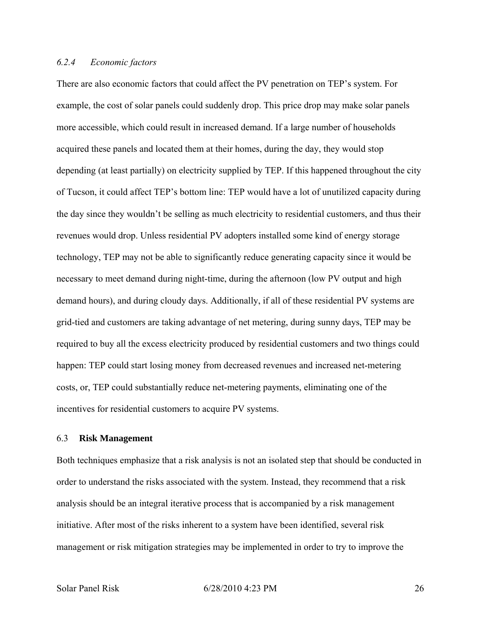## *6.2.4 Economic factors*

There are also economic factors that could affect the PV penetration on TEP's system. For example, the cost of solar panels could suddenly drop. This price drop may make solar panels more accessible, which could result in increased demand. If a large number of households acquired these panels and located them at their homes, during the day, they would stop depending (at least partially) on electricity supplied by TEP. If this happened throughout the city of Tucson, it could affect TEP's bottom line: TEP would have a lot of unutilized capacity during the day since they wouldn't be selling as much electricity to residential customers, and thus their revenues would drop. Unless residential PV adopters installed some kind of energy storage technology, TEP may not be able to significantly reduce generating capacity since it would be necessary to meet demand during night-time, during the afternoon (low PV output and high demand hours), and during cloudy days. Additionally, if all of these residential PV systems are grid-tied and customers are taking advantage of net metering, during sunny days, TEP may be required to buy all the excess electricity produced by residential customers and two things could happen: TEP could start losing money from decreased revenues and increased net-metering costs, or, TEP could substantially reduce net-metering payments, eliminating one of the incentives for residential customers to acquire PV systems.

#### 6.3 **Risk Management**

Both techniques emphasize that a risk analysis is not an isolated step that should be conducted in order to understand the risks associated with the system. Instead, they recommend that a risk analysis should be an integral iterative process that is accompanied by a risk management initiative. After most of the risks inherent to a system have been identified, several risk management or risk mitigation strategies may be implemented in order to try to improve the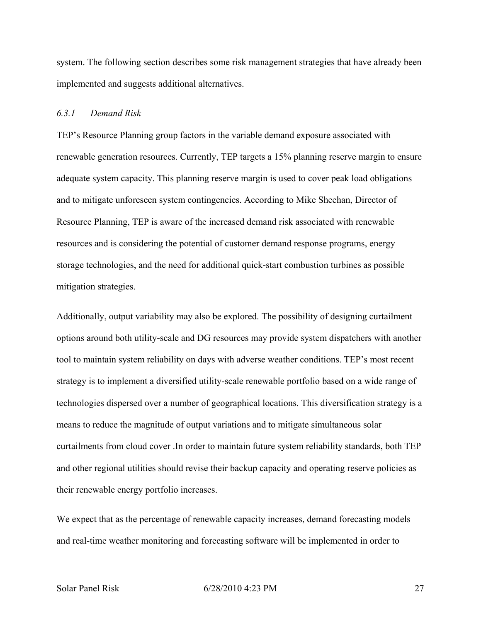system. The following section describes some risk management strategies that have already been implemented and suggests additional alternatives.

### *6.3.1 Demand Risk*

TEP's Resource Planning group factors in the variable demand exposure associated with renewable generation resources. Currently, TEP targets a 15% planning reserve margin to ensure adequate system capacity. This planning reserve margin is used to cover peak load obligations and to mitigate unforeseen system contingencies. According to Mike Sheehan, Director of Resource Planning, TEP is aware of the increased demand risk associated with renewable resources and is considering the potential of customer demand response programs, energy storage technologies, and the need for additional quick-start combustion turbines as possible mitigation strategies.

Additionally, output variability may also be explored. The possibility of designing curtailment options around both utility-scale and DG resources may provide system dispatchers with another tool to maintain system reliability on days with adverse weather conditions. TEP's most recent strategy is to implement a diversified utility-scale renewable portfolio based on a wide range of technologies dispersed over a number of geographical locations. This diversification strategy is a means to reduce the magnitude of output variations and to mitigate simultaneous solar curtailments from cloud cover .In order to maintain future system reliability standards, both TEP and other regional utilities should revise their backup capacity and operating reserve policies as their renewable energy portfolio increases.

We expect that as the percentage of renewable capacity increases, demand forecasting models and real-time weather monitoring and forecasting software will be implemented in order to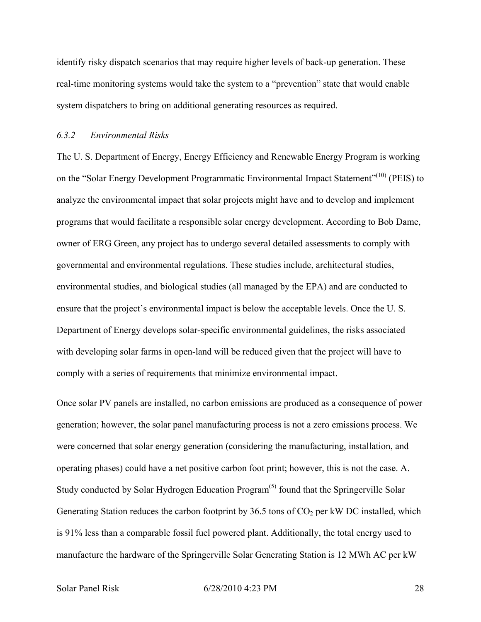identify risky dispatch scenarios that may require higher levels of back-up generation. These real-time monitoring systems would take the system to a "prevention" state that would enable system dispatchers to bring on additional generating resources as required.

### *6.3.2 Environmental Risks*

The U. S. Department of Energy, Energy Efficiency and Renewable Energy Program is working on the "Solar Energy Development Programmatic Environmental Impact Statement"<sup>(10)</sup> (PEIS) to analyze the environmental impact that solar projects might have and to develop and implement programs that would facilitate a responsible solar energy development. According to Bob Dame, owner of ERG Green, any project has to undergo several detailed assessments to comply with governmental and environmental regulations. These studies include, architectural studies, environmental studies, and biological studies (all managed by the EPA) and are conducted to ensure that the project's environmental impact is below the acceptable levels. Once the U. S. Department of Energy develops solar-specific environmental guidelines, the risks associated with developing solar farms in open-land will be reduced given that the project will have to comply with a series of requirements that minimize environmental impact.

Once solar PV panels are installed, no carbon emissions are produced as a consequence of power generation; however, the solar panel manufacturing process is not a zero emissions process. We were concerned that solar energy generation (considering the manufacturing, installation, and operating phases) could have a net positive carbon foot print; however, this is not the case. A. Study conducted by Solar Hydrogen Education Program<sup> $(5)$ </sup> found that the Springerville Solar Generating Station reduces the carbon footprint by 36.5 tons of  $CO<sub>2</sub>$  per kW DC installed, which is 91% less than a comparable fossil fuel powered plant. Additionally, the total energy used to manufacture the hardware of the Springerville Solar Generating Station is 12 MWh AC per kW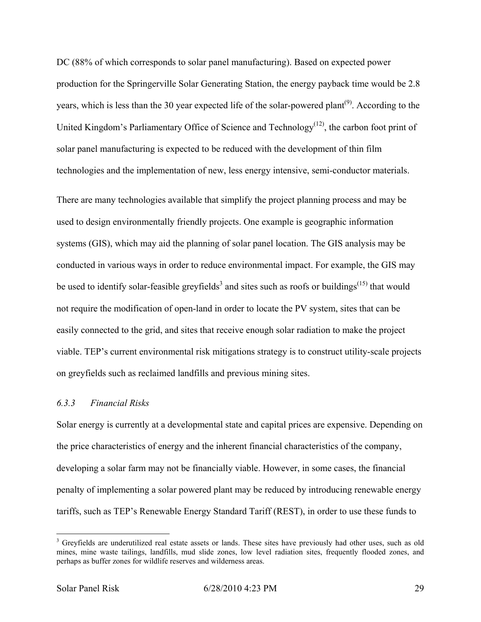DC (88% of which corresponds to solar panel manufacturing). Based on expected power production for the Springerville Solar Generating Station, the energy payback time would be 2.8 years, which is less than the 30 year expected life of the solar-powered plant<sup> $(9)$ </sup>. According to the United Kingdom's Parliamentary Office of Science and Technology<sup> $(12)$ </sup>, the carbon foot print of solar panel manufacturing is expected to be reduced with the development of thin film technologies and the implementation of new, less energy intensive, semi-conductor materials.

There are many technologies available that simplify the project planning process and may be used to design environmentally friendly projects. One example is geographic information systems (GIS), which may aid the planning of solar panel location. The GIS analysis may be conducted in various ways in order to reduce environmental impact. For example, the GIS may be used to identify solar-feasible greyfields<sup>3</sup> and sites such as roofs or buildings<sup>(15)</sup> that would not require the modification of open-land in order to locate the PV system, sites that can be easily connected to the grid, and sites that receive enough solar radiation to make the project viable. TEP's current environmental risk mitigations strategy is to construct utility-scale projects on greyfields such as reclaimed landfills and previous mining sites.

## *6.3.3 Financial Risks*

Solar energy is currently at a developmental state and capital prices are expensive. Depending on the price characteristics of energy and the inherent financial characteristics of the company, developing a solar farm may not be financially viable. However, in some cases, the financial penalty of implementing a solar powered plant may be reduced by introducing renewable energy tariffs, such as TEP's Renewable Energy Standard Tariff (REST), in order to use these funds to

1

<sup>&</sup>lt;sup>3</sup> Greyfields are underutilized real estate assets or lands. These sites have previously had other uses, such as old mines, mine waste tailings, landfills, mud slide zones, low level radiation sites, frequently flooded zones, and perhaps as buffer zones for wildlife reserves and wilderness areas.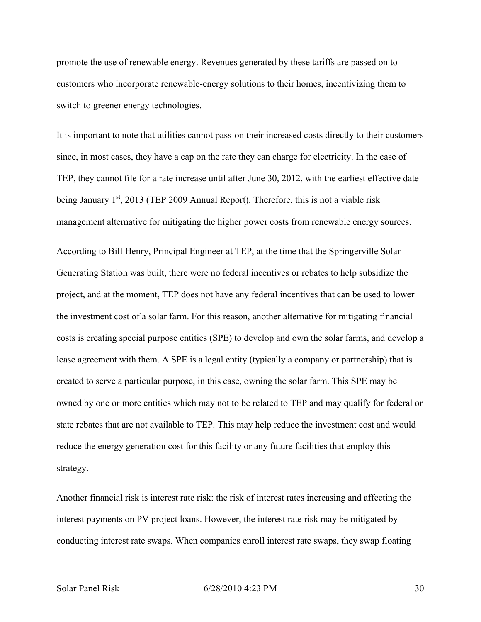promote the use of renewable energy. Revenues generated by these tariffs are passed on to customers who incorporate renewable-energy solutions to their homes, incentivizing them to switch to greener energy technologies.

It is important to note that utilities cannot pass-on their increased costs directly to their customers since, in most cases, they have a cap on the rate they can charge for electricity. In the case of TEP, they cannot file for a rate increase until after June 30, 2012, with the earliest effective date being January  $1<sup>st</sup>$ , 2013 (TEP 2009 Annual Report). Therefore, this is not a viable risk management alternative for mitigating the higher power costs from renewable energy sources.

According to Bill Henry, Principal Engineer at TEP, at the time that the Springerville Solar Generating Station was built, there were no federal incentives or rebates to help subsidize the project, and at the moment, TEP does not have any federal incentives that can be used to lower the investment cost of a solar farm. For this reason, another alternative for mitigating financial costs is creating special purpose entities (SPE) to develop and own the solar farms, and develop a lease agreement with them. A SPE is a legal entity (typically a company or partnership) that is created to serve a particular purpose, in this case, owning the solar farm. This SPE may be owned by one or more entities which may not to be related to TEP and may qualify for federal or state rebates that are not available to TEP. This may help reduce the investment cost and would reduce the energy generation cost for this facility or any future facilities that employ this strategy.

Another financial risk is interest rate risk: the risk of interest rates increasing and affecting the interest payments on PV project loans. However, the interest rate risk may be mitigated by conducting interest rate swaps. When companies enroll interest rate swaps, they swap floating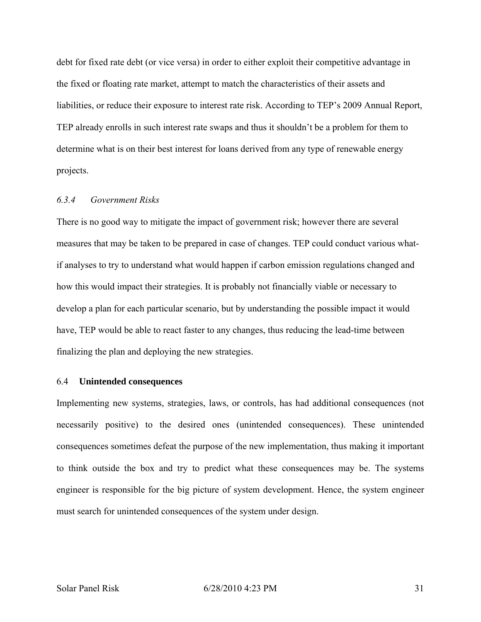debt for fixed rate debt (or vice versa) in order to either exploit their competitive advantage in the fixed or floating rate market, attempt to match the characteristics of their assets and liabilities, or reduce their exposure to interest rate risk. According to TEP's 2009 Annual Report, TEP already enrolls in such interest rate swaps and thus it shouldn't be a problem for them to determine what is on their best interest for loans derived from any type of renewable energy projects.

## *6.3.4 Government Risks*

There is no good way to mitigate the impact of government risk; however there are several measures that may be taken to be prepared in case of changes. TEP could conduct various whatif analyses to try to understand what would happen if carbon emission regulations changed and how this would impact their strategies. It is probably not financially viable or necessary to develop a plan for each particular scenario, but by understanding the possible impact it would have, TEP would be able to react faster to any changes, thus reducing the lead-time between finalizing the plan and deploying the new strategies.

#### 6.4 **Unintended consequences**

Implementing new systems, strategies, laws, or controls, has had additional consequences (not necessarily positive) to the desired ones (unintended consequences). These unintended consequences sometimes defeat the purpose of the new implementation, thus making it important to think outside the box and try to predict what these consequences may be. The systems engineer is responsible for the big picture of system development. Hence, the system engineer must search for unintended consequences of the system under design.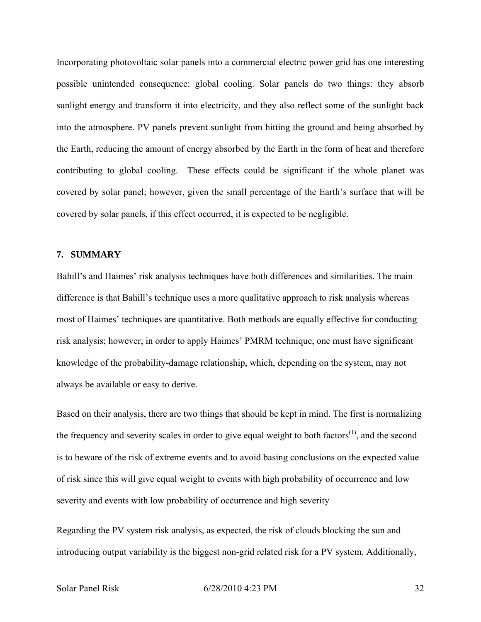Incorporating photovoltaic solar panels into a commercial electric power grid has one interesting possible unintended consequence: global cooling. Solar panels do two things: they absorb sunlight energy and transform it into electricity, and they also reflect some of the sunlight back into the atmosphere. PV panels prevent sunlight from hitting the ground and being absorbed by the Earth, reducing the amount of energy absorbed by the Earth in the form of heat and therefore contributing to global cooling. These effects could be significant if the whole planet was covered by solar panel; however, given the small percentage of the Earth's surface that will be covered by solar panels, if this effect occurred, it is expected to be negligible.

### **7. SUMMARY**

Bahill's and Haimes' risk analysis techniques have both differences and similarities. The main difference is that Bahill's technique uses a more qualitative approach to risk analysis whereas most of Haimes' techniques are quantitative. Both methods are equally effective for conducting risk analysis; however, in order to apply Haimes' PMRM technique, one must have significant knowledge of the probability-damage relationship, which, depending on the system, may not always be available or easy to derive.

Based on their analysis, there are two things that should be kept in mind. The first is normalizing the frequency and severity scales in order to give equal weight to both factors $^{(1)}$ , and the second is to beware of the risk of extreme events and to avoid basing conclusions on the expected value of risk since this will give equal weight to events with high probability of occurrence and low severity and events with low probability of occurrence and high severity.

Regarding the PV system risk analysis, as expected, the risk of clouds blocking the sun and introducing output variability is the biggest non-grid related risk for a PV system. Additionally,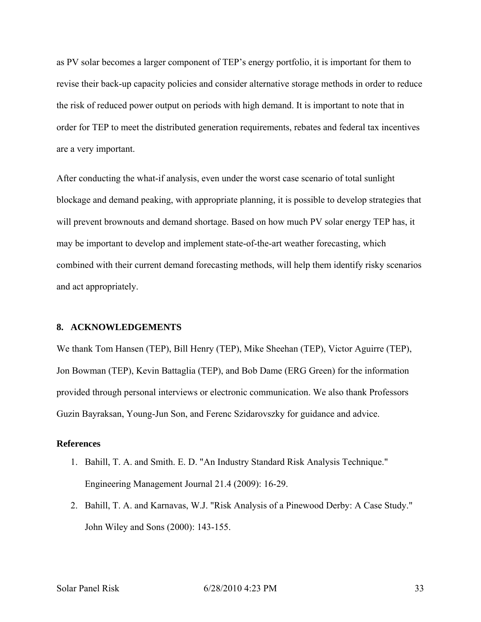as PV solar becomes a larger component of TEP's energy portfolio, it is important for them to revise their back-up capacity policies and consider alternative storage methods in order to reduce the risk of reduced power output on periods with high demand. It is important to note that in order for TEP to meet the distributed generation requirements, rebates and federal tax incentives are a very important.

After conducting the what-if analysis, even under the worst case scenario of total sunlight blockage and demand peaking, with appropriate planning, it is possible to develop strategies that will prevent brownouts and demand shortage. Based on how much PV solar energy TEP has, it may be important to develop and implement state-of-the-art weather forecasting, which combined with their current demand forecasting methods, will help them identify risky scenarios and act appropriately.

#### **8. ACKNOWLEDGEMENTS**

We thank Tom Hansen (TEP), Bill Henry (TEP), Mike Sheehan (TEP), Victor Aguirre (TEP), Jon Bowman (TEP), Kevin Battaglia (TEP), and Bob Dame (ERG Green) for the information provided through personal interviews or electronic communication. We also thank Professors Guzin Bayraksan, Young-Jun Son, and Ferenc Szidarovszky for guidance and advice.

#### **References**

- 1. Bahill, T. A. and Smith. E. D. "An Industry Standard Risk Analysis Technique." Engineering Management Journal 21.4 (2009): 16-29.
- 2. Bahill, T. A. and Karnavas, W.J. "Risk Analysis of a Pinewood Derby: A Case Study." John Wiley and Sons (2000): 143-155.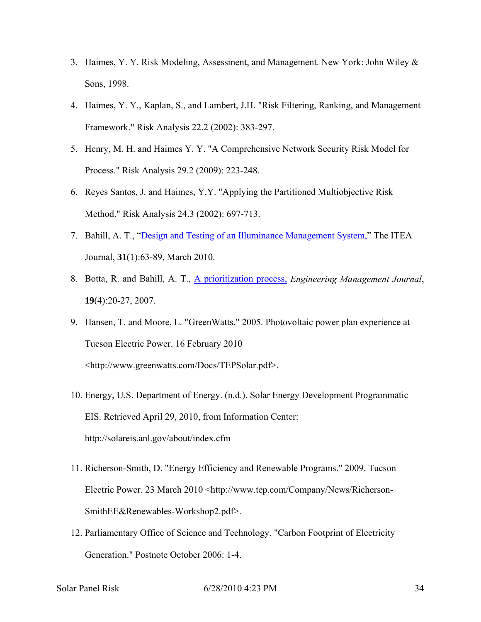- 3. Haimes, Y. Y. Risk Modeling, Assessment, and Management. New York: John Wiley & Sons, 1998.
- 4. Haimes, Y. Y., Kaplan, S., and Lambert, J.H. "Risk Filtering, Ranking, and Management Framework." Risk Analysis 22.2 (2002): 383-297.
- 5. Henry, M. H. and Haimes Y. Y. "A Comprehensive Network Security Risk Model for Process." Risk Analysis 29.2 (2009): 223-248.
- 6. Reyes Santos, J. and Haimes, Y.Y. "Applying the Partitioned Multiobjective Risk Method." Risk Analysis 24.3 (2002): 697-713.
- 7. Bahill, A. T., "Design and Testing of an Illuminance Management System," The ITEA Journal, **31**(1):63-89, March 2010.
- 8. Botta, R. and Bahill, A. T., A prioritization process, *Engineering Management Journal*, **19**(4):20-27, 2007.
- 9. Hansen, T. and Moore, L. "GreenWatts." 2005. Photovoltaic power plan experience at Tucson Electric Power. 16 February 2010 <http://www.greenwatts.com/Docs/TEPSolar.pdf>.
- 10. Energy, U.S. Department of Energy. (n.d.). Solar Energy Development Programmatic EIS. Retrieved April 29, 2010, from Information Center: http://solareis.anl.gov/about/index.cfm
- 11. Richerson-Smith, D. "Energy Efficiency and Renewable Programs." 2009. Tucson Electric Power. 23 March 2010 <http://www.tep.com/Company/News/Richerson-SmithEE&Renewables-Workshop2.pdf>.
- 12. Parliamentary Office of Science and Technology. "Carbon Footprint of Electricity Generation." Postnote October 2006: 1-4.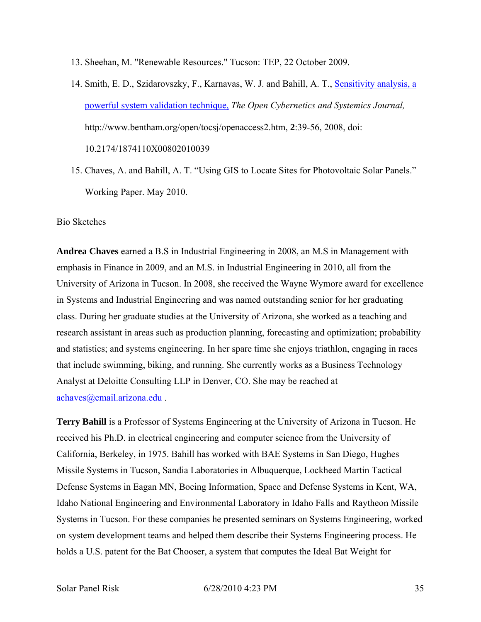- 13. Sheehan, M. "Renewable Resources." Tucson: TEP, 22 October 2009.
- 14. Smith, E. D., Szidarovszky, F., Karnavas, W. J. and Bahill, A. T., Sensitivity analysis, a powerful system validation technique, *The Open Cybernetics and Systemics Journal,* http://www.bentham.org/open/tocsj/openaccess2.htm, **2**:39-56, 2008, doi: 10.2174/1874110X00802010039
- 15. Chaves, A. and Bahill, A. T. "Using GIS to Locate Sites for Photovoltaic Solar Panels." Working Paper. May 2010.

## Bio Sketches

**Andrea Chaves** earned a B.S in Industrial Engineering in 2008, an M.S in Management with emphasis in Finance in 2009, and an M.S. in Industrial Engineering in 2010, all from the University of Arizona in Tucson. In 2008, she received the Wayne Wymore award for excellence in Systems and Industrial Engineering and was named outstanding senior for her graduating class. During her graduate studies at the University of Arizona, she worked as a teaching and research assistant in areas such as production planning, forecasting and optimization; probability and statistics; and systems engineering. In her spare time she enjoys triathlon, engaging in races that include swimming, biking, and running. She currently works as a Business Technology Analyst at Deloitte Consulting LLP in Denver, CO. She may be reached at achaves@email.arizona.edu .

**Terry Bahill** is a Professor of Systems Engineering at the University of Arizona in Tucson. He received his Ph.D. in electrical engineering and computer science from the University of California, Berkeley, in 1975. Bahill has worked with BAE Systems in San Diego, Hughes Missile Systems in Tucson, Sandia Laboratories in Albuquerque, Lockheed Martin Tactical Defense Systems in Eagan MN, Boeing Information, Space and Defense Systems in Kent, WA, Idaho National Engineering and Environmental Laboratory in Idaho Falls and Raytheon Missile Systems in Tucson. For these companies he presented seminars on Systems Engineering, worked on system development teams and helped them describe their Systems Engineering process. He holds a U.S. patent for the Bat Chooser, a system that computes the Ideal Bat Weight for